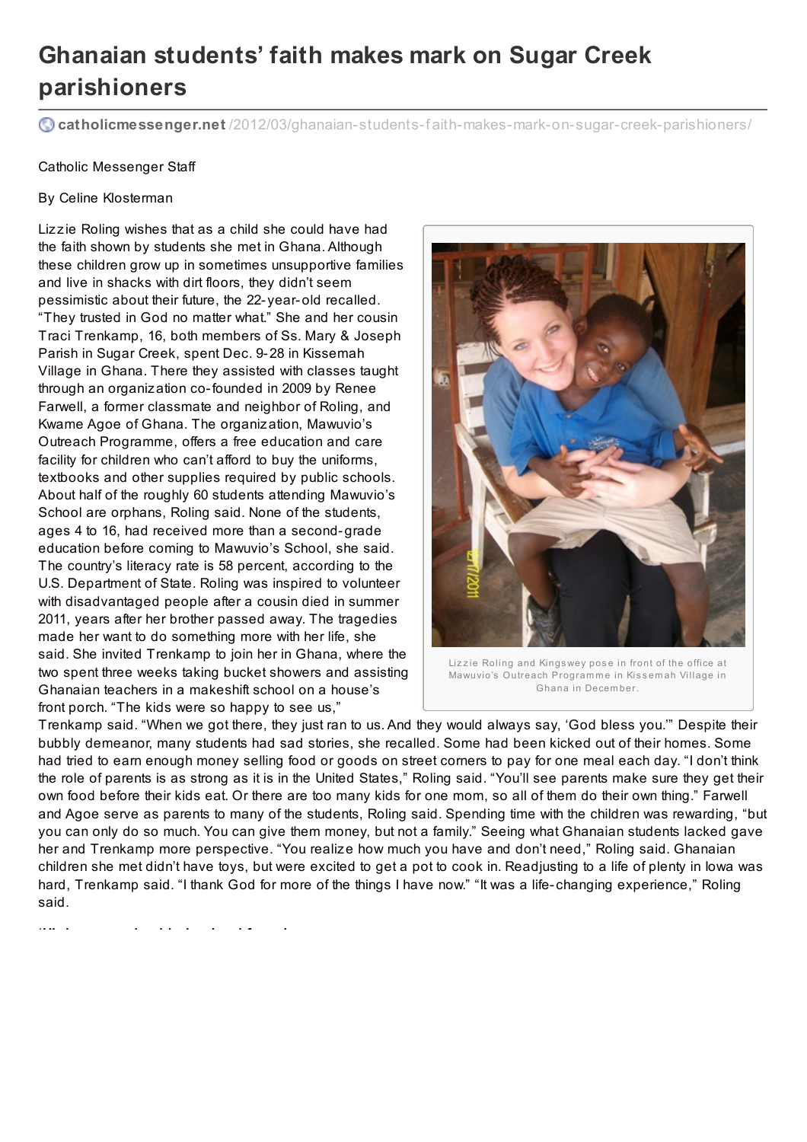## **Ghanaian students' faith makes mark on Sugar Creek parishioners**

**catholicmessenger.net** /2012/03/ghanaian-students-f [aith-makes-mark-on-sugar-creek-parishioners/](http://www.catholicmessenger.net/2012/03/ghanaian-students-faith-makes-mark-on-sugar-creek-parishioners/)

## Catholic Messenger Staff

## By Celine Klosterman

Lizzie Roling wishes that as a child she could have had the faith shown by students she met in Ghana. Although these children grow up in sometimes unsupportive families and live in shacks with dirt floors, they didn't seem pessimistic about their future, the 22- year-old recalled. "They trusted in God no matter what." She and her cousin Traci Trenkamp, 16, both members of Ss. Mary & Joseph Parish in Sugar Creek, spent Dec. 9-28 in Kissemah Village in Ghana. There they assisted with classes taught through an organization co-founded in 2009 by Renee Farwell, a former classmate and neighbor of Roling, and Kwame Agoe of Ghana. The organization, Mawuvio's Outreach Programme, offers a free education and care facility for children who can't afford to buy the uniforms, textbooks and other supplies required by public schools. About half of the roughly 60 students attending Mawuvio's School are orphans, Roling said. None of the students, ages 4 to 16, had received more than a second-grade education before coming to Mawuvio's School, she said. The country's literacy rate is 58 percent, according to the U.S. Department of State. Roling was inspired to volunteer with disadvantaged people after a cousin died in summer 2011, years after her brother passed away. The tragedies made her want to do something more with her life, she said. She invited Trenkamp to join her in Ghana, where the two spent three weeks taking bucket showers and assisting Ghanaian teachers in a makeshift school on a house's front porch. "The kids were so happy to see us,"



Lizzie Roling and Kingswey pose in front of the office at Mawuvio's Outreach Programme in Kissemah Village in Ghana in Decem ber.

Trenkamp said. "When we got there, they just ran to us. And they would always say, 'God bless you.'" Despite their bubbly demeanor, many students had sad stories, she recalled. Some had been kicked out of their homes. Some had tried to earn enough money selling food or goods on street corners to pay for one meal each day. "I don't think the role of parents is as strong as it is in the United States," Roling said. "You'll see parents make sure they get their own food before their kids eat. Or there are too many kids for one mom, so all of them do their own thing." Farwell and Agoe serve as parents to many of the students, Roling said. Spending time with the children was rewarding, "but you can only do so much. You can give them money, but not a family." Seeing what Ghanaian students lacked gave her and Trenkamp more perspective. "You realize how much you have and don't need," Roling said. Ghanaian children she met didn't have toys, but were excited to get a pot to cook in. Readjusting to a life of plenty in Iowa was hard, Trenkamp said. "I thank God for more of the things I have now." "It was a life-changing experience," Roling said.